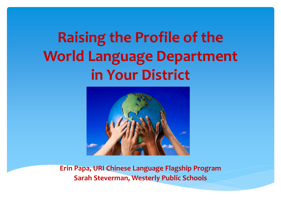# **Raising the Profile of the World Language Department in Your District**



**Erin Papa, URI Chinese Language Flagship Program Sarah Steverman, Westerly Public Schools**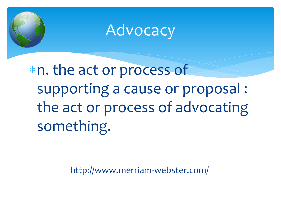

### **Advocacy**

n. the act or process of supporting a cause or proposal : the act or process of advocating something.

http://www.merriam-webster.com/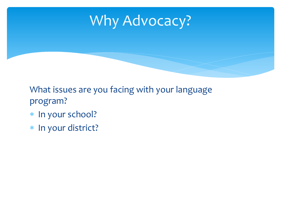### Why Advocacy?

What issues are you facing with your language program?

- \* In your school?
- \* In your district?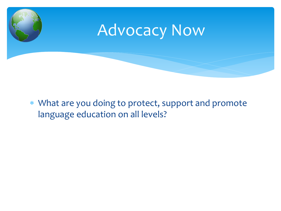

 What are you doing to protect, support and promote language education on all levels?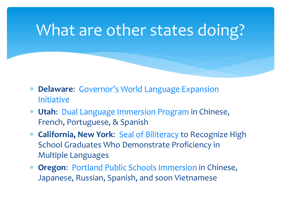### What are other states doing?

- **Delaware**: [Governor's World Language Expansion](http://www.doe.k12.de.us/infosuites/staff/IE/default.shtml)  [Initiative](http://www.doe.k12.de.us/infosuites/staff/IE/default.shtml)
- **Utah**: [Dual Language Immersion Program](http://www.schools.utah.gov/curr/dualimmersion/) in Chinese, French, Portuguese, & Spanish
- **California, New York**: [Seal of Biliteracy](http://sealofbiliteracy.org/) to Recognize High School Graduates Who Demonstrate Proficiency in Multiple Languages
- **Oregon**: [Portland Public Schools Immersion](http://www.pps.k12.or.us/departments/immersion/) in Chinese, Japanese, Russian, Spanish, and soon Vietnamese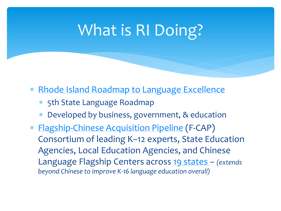# What is RI Doing?

- \* [Rhode Island Roadmap to Language Excellence](http://www.uri.edu/rilanguage)
	- 5th State Language Roadmap
	- Developed by business, government, & education
- [Flagship-Chinese Acquisition Pipeline](http://f-cap.org/) (F-CAP) Consortium of leading K–12 experts, State Education Agencies, Local Education Agencies, and Chinese Language Flagship Centers across [19 states](http://f-cap.org/wp-content/uploads/2013/03/F-CAP-Consortium1.pdf) – *(extends beyond Chinese to improve K-16 language education overall)*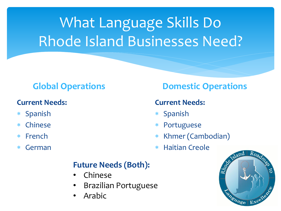# What Language Skills Do Rhode Island Businesses Need?

#### **Current Needs:**

- Spanish
- Chinese
- French
- German

#### **Future Needs (Both):**

- Chinese
- Brazilian Portuguese
- Arabic

### **Global Operations Domestic Operations**

#### **Current Needs:**

- \* Spanish
- Portuguese
- Khmer (Cambodian)
- Haitian Creole

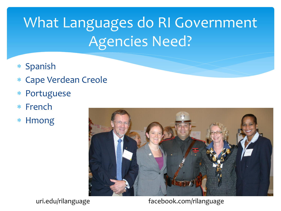# What Languages do RI Government Agencies Need?

- \* Spanish
- Cape Verdean Creole
- Portuguese
- French
- \* Hmong



uri.edu/rilanguage facebook.com/rilanguage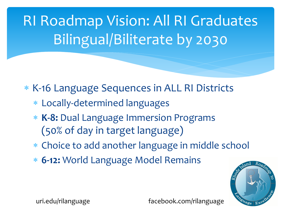RI Roadmap Vision: All RI Graduates Bilingual/Biliterate by 2030

\* K-16 Language Sequences in ALL RI Districts

- Locally-determined languages
- **K-8:** Dual Language Immersion Programs (50% of day in target language)
- Choice to add another language in middle school
- **6-12:** World Language Model Remains



uri.edu/rilanguage facebook.com/rilanguage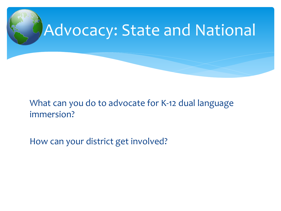

### What can you do to advocate for K-12 dual language immersion?

How can your district get involved?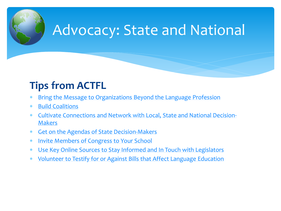

### Advocacy: State and National

### **Tips from ACTF[L](http://www.actfl.org/advocacy/resources/bring-the-message-organizations-beyond-the-language-profession)**

- [Bring the Message to Organizations Beyond the Language Profession](http://www.actfl.org/advocacy/resources/bring-the-message-organizations-beyond-the-language-profession)
- [Build Coalitions](http://www.actfl.org/building-coalitions)
- [Cultivate Connections and Network with Local, State and National Decision-](http://www.actfl.org/advocacy/resources/cultivating-connections-and-networking-local-state-and-national-decision-makers)**[Makers](http://www.actfl.org/advocacy/resources/cultivating-connections-and-networking-local-state-and-national-decision-makers)**
- [Get on the Agendas of State Decision-Makers](http://www.actfl.org/advocacy/resources/get-the-agendas-state-decision-makers)
- [Invite Members of Congress to Your School](http://www.actfl.org/invite-members-congress-your-school)
- [Use Key Online Sources to Stay Informed and In Touch with Legislators](http://www.actfl.org/use-key-online-sources-stay-informed-and-touch-legislators)
- [Volunteer to Testify for or Against Bills that Affect Language Education](http://www.actfl.org/volunteer-testify-or-against-bills-affect-language-education)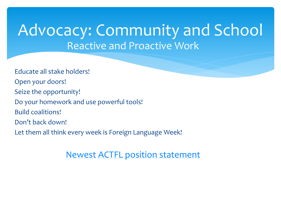### Reactive and Proactive Work Advocacy: Community and School

Educate all stake holders! Open your doors! Seize the opportunity! Do your homework and use powerful tools! Build coalitions! Don't back down! Let them all think every week is Foreign Language Week!

[Newest ACTFL position statement](http://www.actfl.org/news/position-statements/languages-core-component-education-all-students)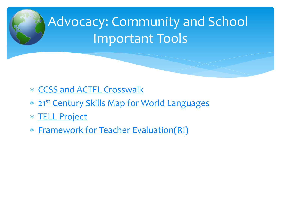

- [CCSS and ACTFL Crosswalk](http://www.actfl.org/news/reports/alignment-the-national-standards-learning-languages-the-common-core-state-standards)
- \* [21](http://www.p21.org/storage/documents/Skills Map/p21_worldlanguagesmap.pdf)[st](http://www.p21.org/storage/documents/Skills Map/p21_worldlanguagesmap.pdf) [Century Skills Map for World Languages](http://www.p21.org/storage/documents/Skills Map/p21_worldlanguagesmap.pdf)
- [TELL Project](http://www.tellproject.com/)
- [Framework for Teacher Evaluation\(RI\)](http://www.ride.ri.gov/Portals/0/Uploads/Documents/Teachers-and-Administrators-Excellent-Educators/Educator-Evaluation/Education-Eval-Main-Page/Teacher-Model-GB-Edition-II-FINAL.pdf)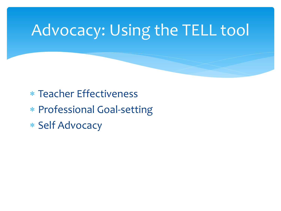# Advocacy: Using the TELL tool

- Teacher Effectiveness
- Professional Goal-setting
- \* Self Advocacy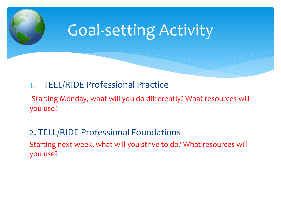

### 1. TELL/RIDE Professional Practice

Starting Monday, what will you do differently? What resources will you use?

2. TELL/RIDE Professional Foundations Starting next week, what will you strive to do? What resources will you use?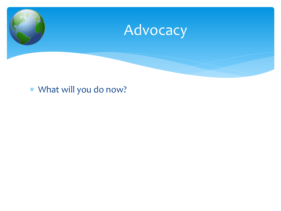

#### What will you do now?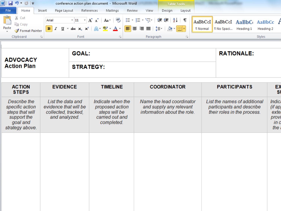| $\overline{W}$ $\left  \begin{array}{ccc} 1 & 0 \\ \hline \end{array} \right $ $\overline{U}$ $\left  \begin{array}{ccc} - & 0 \\ \hline \end{array} \right $ | conference action plan document - Microsoft Word | <b>Table Tools</b>         |                  |                                                           |
|---------------------------------------------------------------------------------------------------------------------------------------------------------------|--------------------------------------------------|----------------------------|------------------|-----------------------------------------------------------|
| File<br>Home                                                                                                                                                  | References<br>Page Layout<br>Insert              | Mailings<br>Review<br>View | Design<br>Lavout |                                                           |
| ‰ Cut<br><b>T</b> a Copy<br>Paste $\sqrt{\ }$ Format Painter                                                                                                  | Arial                                            |                            |                  | <b>If Normal</b>   <b>If No Spaci</b> Heading 1 Heading 2 |
| Clipboard<br>喧                                                                                                                                                | Font                                             | Paragraph                  |                  | Styles                                                    |

| <b>ADVOCACY</b>    | GOAL:            | <b>RATIONALE:</b> |
|--------------------|------------------|-------------------|
| <b>Action Plan</b> | <b>STRATEGY:</b> |                   |

| <b>ACTION</b><br><b>STEPS</b>                                                                    | <b>EVIDENCE</b>                                                                    | <b>TIMELINE</b>                                                                        | <b>COORDINATOR</b>                                                                  | <b>PARTICIPANTS</b>                                                                      | EX<br>s                                                          |
|--------------------------------------------------------------------------------------------------|------------------------------------------------------------------------------------|----------------------------------------------------------------------------------------|-------------------------------------------------------------------------------------|------------------------------------------------------------------------------------------|------------------------------------------------------------------|
| Describe the<br>specific action<br>steps that will<br>support the<br>goal and<br>strategy above. | List the data and<br>evidence that will be<br>collected, tracked,<br>and analyzed. | Indicate when the<br>proposed action<br>steps will be<br>carried out and<br>completed. | Name the lead coordinator<br>and supply any relevant<br>information about the role. | List the names of additional<br>participants and describe<br>their roles in the process. | Indica<br>(if ap <sub>l</sub><br>exter<br>provi<br>in c<br>the a |
|                                                                                                  |                                                                                    |                                                                                        |                                                                                     |                                                                                          |                                                                  |
|                                                                                                  |                                                                                    |                                                                                        |                                                                                     |                                                                                          |                                                                  |
|                                                                                                  |                                                                                    |                                                                                        |                                                                                     |                                                                                          |                                                                  |
|                                                                                                  |                                                                                    |                                                                                        |                                                                                     |                                                                                          |                                                                  |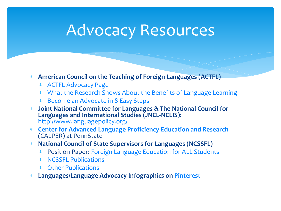## Advocacy Resources

- **American Council on the Teaching of Foreign Languages (ACTFL)**
	- [ACTFL Advocacy Page](http://www.actfl.org/advocacy/discover-languages/for-parents/fl-advocacy)
	- [What the Research Shows About the Benefits of Language Learning](http://www.actfl.org/advocacy/discover-languages/what-the-research-shows)
	- [Become an Advocate in 8 Easy Steps](http://www.actfl.org/advocacy/discover-languages/for-parents/fl-advocacy)
- **Joint National Committee for Languages & The National Council for Languages and International Studies (JNCL-NCLIS)**: <http://www.languagepolicy.org/>
- **[Center for Advanced Language Proficiency Education and Research](http://calper.la.psu.edu/resources.php?page=langadv)** (CALPER) at PennState
- **National Council of State Supervisors for Languages (NCSSFL)**
	- Position Paper: [Foreign Language Education for ALL Students](http://www.ncssfl.org/papers/index.php?allstudents)
	- [NCSSFL Publications](http://www.ncssfl.org/papers/index.php?papers_index)
	- [Other Publications](http://www.ncssfl.org/papers/index.php?other_pubs)
- **Languages/Language Advocacy Infographics on [Pinterest](http://www.pinterest.com/skshackelford/languages-language-advocacy/)**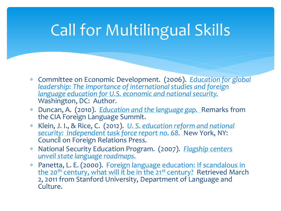# Call for Multilingual Skills

- Committee on Economic Development. (2006). *[Education for global](http://ced.issuelab.org/resource/education_for_global_leadership_the_importance_of_international_studies_and_foreign_language_education_for_us_economic_and_national_security)  [leadership: The importance of international studies and foreign](http://ced.issuelab.org/resource/education_for_global_leadership_the_importance_of_international_studies_and_foreign_language_education_for_us_economic_and_national_security)  [language education for U.S. economic and national security.](http://ced.issuelab.org/resource/education_for_global_leadership_the_importance_of_international_studies_and_foreign_language_education_for_us_economic_and_national_security)*  Washington, DC: Author.
- Duncan, A. (2010). *[Education and the language gap.](http://www.ed.gov/news/speeches/education-and-language-gap-secretary-arne-duncans-remarks-foreign-language-summit)* [R](http://www.ed.gov/news/speeches/education-and-language-gap-secretary-arne-duncans-remarks-foreign-language-summit)emarks from the CIA Foreign Language Summit.
- Klein, J. I., & Rice, C. (2012). *[U. S. education reform and national](http://www.cfr.org/united-states/us-education-reform-national-security/p27618?co=C007301)  [security: Independent task force report no. 68.](http://www.cfr.org/united-states/us-education-reform-national-security/p27618?co=C007301)*New York, NY: Council on Foreign Relations Press.
- National Security Education Program. (2007). *[Flagship centers](http://thelanguageflagship.org/downloads/ Flagship_Centers_Unveil_Language_Roadmaps.pdf)  [unveil state language roadmaps.](http://thelanguageflagship.org/downloads/ Flagship_Centers_Unveil_Language_Roadmaps.pdf)*
- Panett[a,](https://www.stanford.edu/dept/lc/language/about/conferencepapers/panettapaper.pdf) L. E. (2000). [Foreign language education: If scandalous in](https://www.stanford.edu/dept/lc/language/about/conferencepapers/panettapaper.pdf)  [the 20](https://www.stanford.edu/dept/lc/language/about/conferencepapers/panettapaper.pdf)<sup>[th](https://www.stanford.edu/dept/lc/language/about/conferencepapers/panettapaper.pdf)</sup> [century, what will it be in the 21](https://www.stanford.edu/dept/lc/language/about/conferencepapers/panettapaper.pdf)<sup>[st](https://www.stanford.edu/dept/lc/language/about/conferencepapers/panettapaper.pdf)</sup> [century?](https://www.stanford.edu/dept/lc/language/about/conferencepapers/panettapaper.pdf) Retrieved March 2, 2011 from Stanford University, Department of Language and Culture.